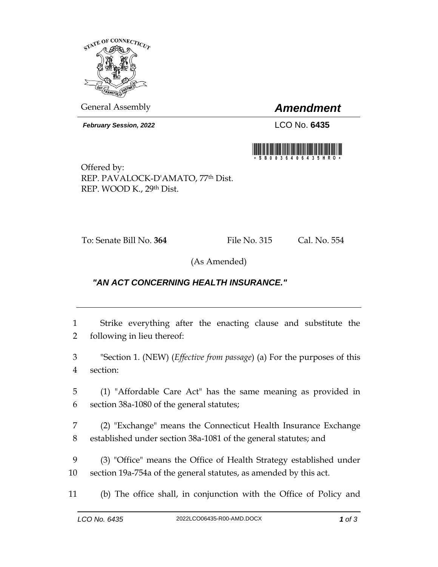

General Assembly *Amendment*

*February Session, 2022* LCO No. **6435**



Offered by: REP. PAVALOCK-D'AMATO, 77th Dist. REP. WOOD K., 29th Dist.

To: Senate Bill No. **364** File No. 315 Cal. No. 554

(As Amended)

## *"AN ACT CONCERNING HEALTH INSURANCE."*

1 Strike everything after the enacting clause and substitute the 2 following in lieu thereof:

3 "Section 1. (NEW) (*Effective from passage*) (a) For the purposes of this 4 section:

5 (1) "Affordable Care Act" has the same meaning as provided in 6 section 38a-1080 of the general statutes;

7 (2) "Exchange" means the Connecticut Health Insurance Exchange 8 established under section 38a-1081 of the general statutes; and

9 (3) "Office" means the Office of Health Strategy established under 10 section 19a-754a of the general statutes, as amended by this act.

11 (b) The office shall, in conjunction with the Office of Policy and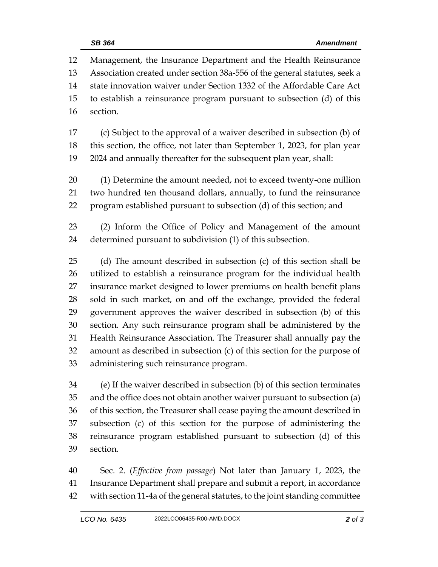Management, the Insurance Department and the Health Reinsurance Association created under section 38a-556 of the general statutes, seek a state innovation waiver under Section 1332 of the Affordable Care Act to establish a reinsurance program pursuant to subsection (d) of this section. (c) Subject to the approval of a waiver described in subsection (b) of this section, the office, not later than September 1, 2023, for plan year 2024 and annually thereafter for the subsequent plan year, shall: (1) Determine the amount needed, not to exceed twenty-one million two hundred ten thousand dollars, annually, to fund the reinsurance program established pursuant to subsection (d) of this section; and (2) Inform the Office of Policy and Management of the amount determined pursuant to subdivision (1) of this subsection. (d) The amount described in subsection (c) of this section shall be utilized to establish a reinsurance program for the individual health insurance market designed to lower premiums on health benefit plans sold in such market, on and off the exchange, provided the federal government approves the waiver described in subsection (b) of this section. Any such reinsurance program shall be administered by the Health Reinsurance Association. The Treasurer shall annually pay the amount as described in subsection (c) of this section for the purpose of administering such reinsurance program. (e) If the waiver described in subsection (b) of this section terminates and the office does not obtain another waiver pursuant to subsection (a)

 of this section, the Treasurer shall cease paying the amount described in subsection (c) of this section for the purpose of administering the reinsurance program established pursuant to subsection (d) of this section.

 Sec. 2. (*Effective from passage*) Not later than January 1, 2023, the Insurance Department shall prepare and submit a report, in accordance with section 11-4a of the general statutes, to the joint standing committee